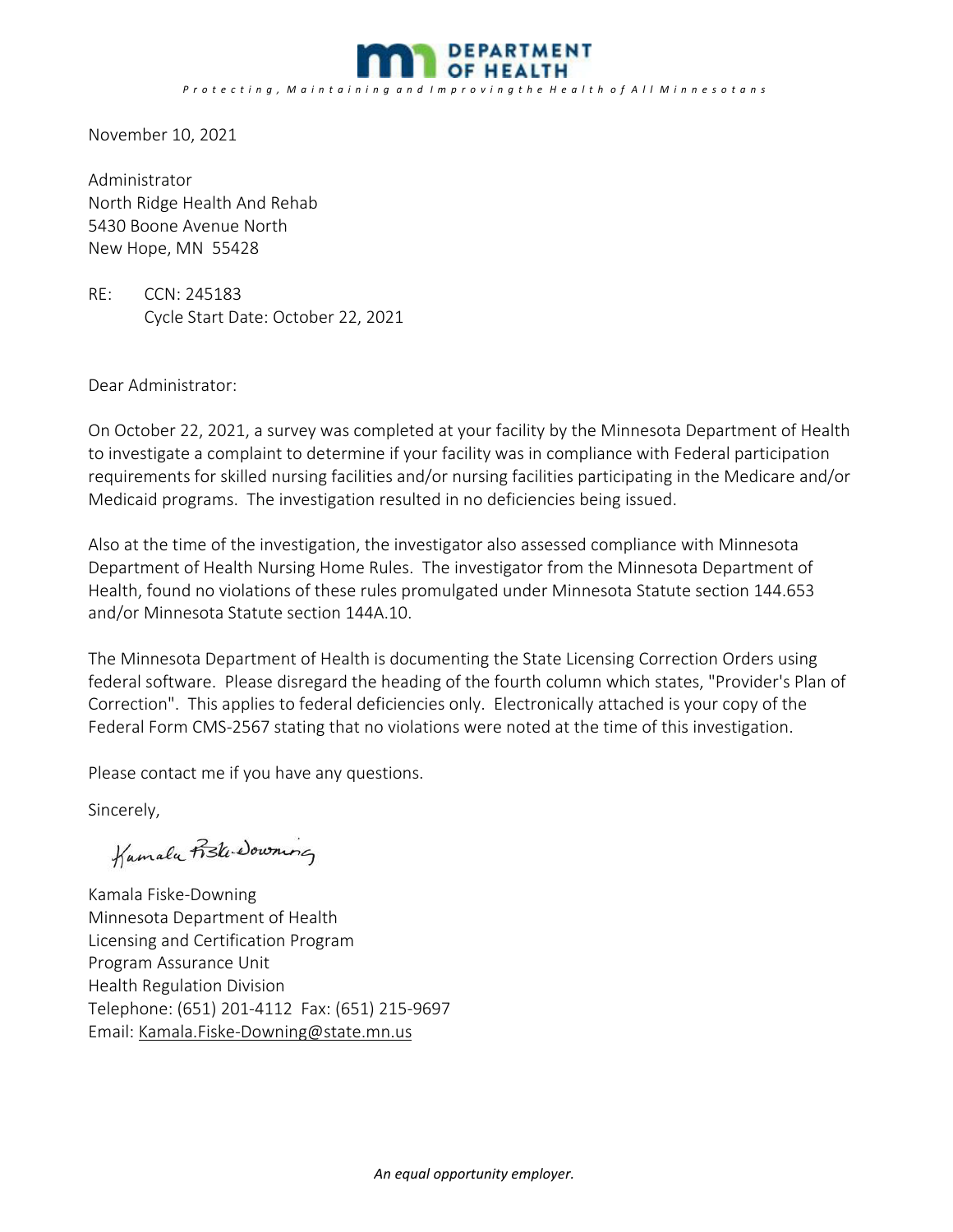

November 10, 2021

Administrator North Ridge Health And Rehab 5430 Boone Avenue North New Hope, MN 55428

RE: CCN: 245183 Cycle Start Date: October 22, 2021

Dear Administrator:

On October 22, 2021, a survey was completed at your facility by the Minnesota Department of Health to investigate a complaint to determine if your facility was in compliance with Federal participation requirements for skilled nursing facilities and/or nursing facilities participating in the Medicare and/or Medicaid programs. The investigation resulted in no deficiencies being issued.

Also at the time of the investigation, the investigator also assessed compliance with Minnesota Department of Health Nursing Home Rules. The investigator from the Minnesota Department of Health, found no violations of these rules promulgated under Minnesota Statute section 144.653 and/or Minnesota Statute section 144A.10.

The Minnesota Department of Health is documenting the State Licensing Correction Orders using federal software. Please disregard the heading of the fourth column which states, "Provider's Plan of Correction". This applies to federal deficiencies only. Electronically attached is your copy of the Federal Form CMS‐2567 stating that no violations were noted at the time of this investigation.

Please contact me if you have any questions.

Sincerely,

Kumalu Fiski Downing  $\overline{u}$ 

Kamala Fiske‐Downing Minnesota Department of Health Licensing and Certification Program Program Assurance Unit Health Regulation Division Telephone: (651) 201‐4112 Fax: (651) 215‐9697 Email: Kamala.Fiske‐Downing@state.mn.us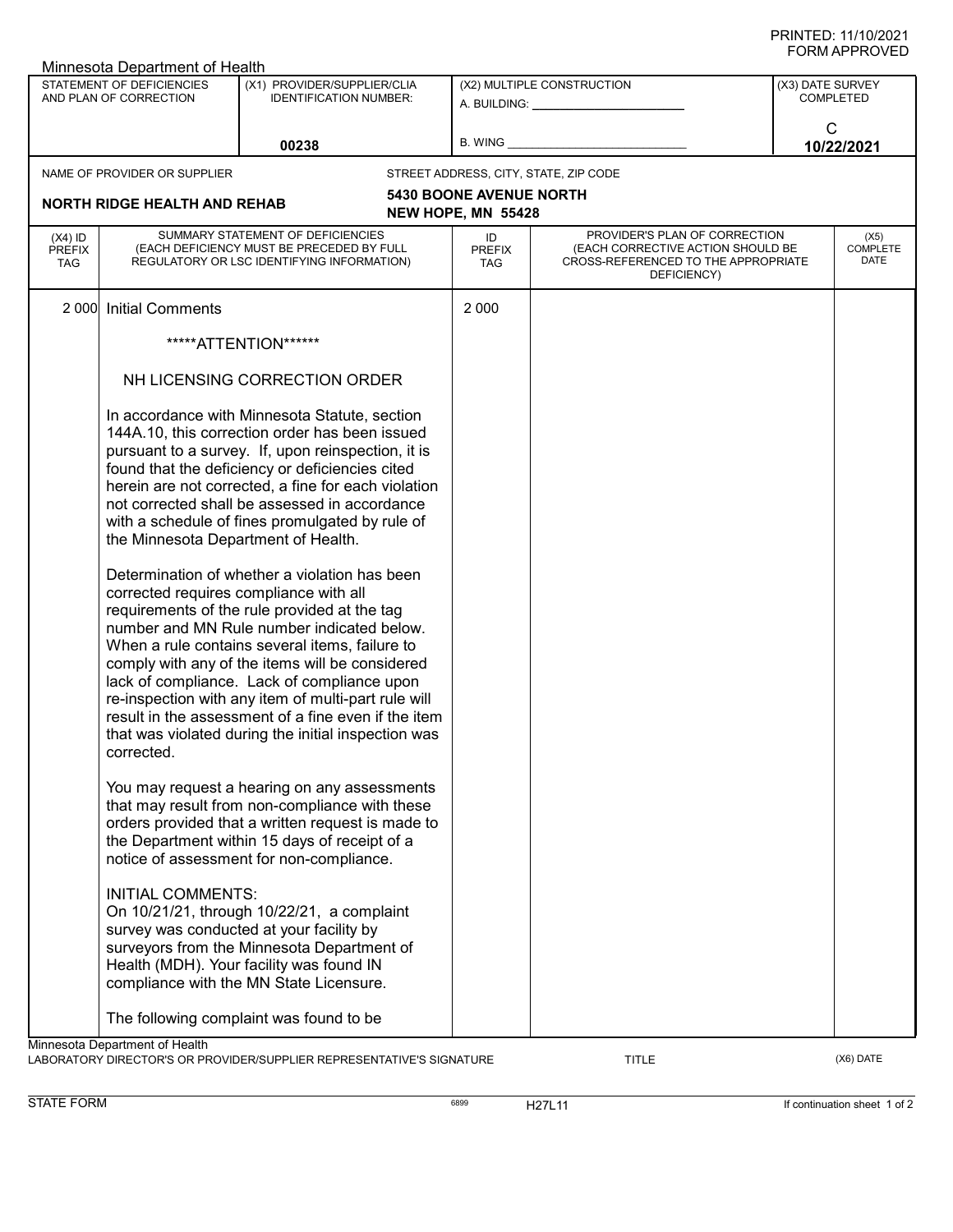| Minnesota Department of Health                      |                                                                                                                         |                                                                                                                                                                                                                                                                                                                                                                                                                                                                                                                                                                                                                                                                                                                                                                                                                                                                                                                                                                                                                                                                                                                                                                                           |                                                                                                                                                                                                                                                             |                                                                                                                          |                                      |  |  |  |  |
|-----------------------------------------------------|-------------------------------------------------------------------------------------------------------------------------|-------------------------------------------------------------------------------------------------------------------------------------------------------------------------------------------------------------------------------------------------------------------------------------------------------------------------------------------------------------------------------------------------------------------------------------------------------------------------------------------------------------------------------------------------------------------------------------------------------------------------------------------------------------------------------------------------------------------------------------------------------------------------------------------------------------------------------------------------------------------------------------------------------------------------------------------------------------------------------------------------------------------------------------------------------------------------------------------------------------------------------------------------------------------------------------------|-------------------------------------------------------------------------------------------------------------------------------------------------------------------------------------------------------------------------------------------------------------|--------------------------------------------------------------------------------------------------------------------------|--------------------------------------|--|--|--|--|
| STATEMENT OF DEFICIENCIES<br>AND PLAN OF CORRECTION |                                                                                                                         | (X1) PROVIDER/SUPPLIER/CLIA<br><b>IDENTIFICATION NUMBER:</b>                                                                                                                                                                                                                                                                                                                                                                                                                                                                                                                                                                                                                                                                                                                                                                                                                                                                                                                                                                                                                                                                                                                              | (X2) MULTIPLE CONSTRUCTION<br>A. BUILDING: A SALE AND THE SALE AND THE SALE OF THE SALE AND THE SALE OF THE SALE OF THE SALE OF THE SALE OF THE SALE OF THE SALE OF THE SALE OF THE SALE OF THE SALE OF THE SALE OF THE SALE OF THE SALE OF THE SALE OF THE |                                                                                                                          | (X3) DATE SURVEY<br><b>COMPLETED</b> |  |  |  |  |
|                                                     | 00238                                                                                                                   |                                                                                                                                                                                                                                                                                                                                                                                                                                                                                                                                                                                                                                                                                                                                                                                                                                                                                                                                                                                                                                                                                                                                                                                           | B. WING                                                                                                                                                                                                                                                     |                                                                                                                          | C<br>10/22/2021                      |  |  |  |  |
|                                                     | NAME OF PROVIDER OR SUPPLIER                                                                                            |                                                                                                                                                                                                                                                                                                                                                                                                                                                                                                                                                                                                                                                                                                                                                                                                                                                                                                                                                                                                                                                                                                                                                                                           |                                                                                                                                                                                                                                                             | STREET ADDRESS, CITY, STATE, ZIP CODE                                                                                    |                                      |  |  |  |  |
|                                                     | <b>NORTH RIDGE HEALTH AND REHAB</b>                                                                                     |                                                                                                                                                                                                                                                                                                                                                                                                                                                                                                                                                                                                                                                                                                                                                                                                                                                                                                                                                                                                                                                                                                                                                                                           | <b>5430 BOONE AVENUE NORTH</b><br>NEW HOPE, MN 55428                                                                                                                                                                                                        |                                                                                                                          |                                      |  |  |  |  |
| $(X4)$ ID<br><b>PREFIX</b><br><b>TAG</b>            |                                                                                                                         | SUMMARY STATEMENT OF DEFICIENCIES<br>(EACH DEFICIENCY MUST BE PRECEDED BY FULL<br>REGULATORY OR LSC IDENTIFYING INFORMATION)                                                                                                                                                                                                                                                                                                                                                                                                                                                                                                                                                                                                                                                                                                                                                                                                                                                                                                                                                                                                                                                              | ID<br><b>PREFIX</b><br><b>TAG</b>                                                                                                                                                                                                                           | PROVIDER'S PLAN OF CORRECTION<br>(EACH CORRECTIVE ACTION SHOULD BE<br>CROSS-REFERENCED TO THE APPROPRIATE<br>DEFICIENCY) | (X5)<br><b>COMPLETE</b><br>DATE      |  |  |  |  |
| 2 0 0 0                                             | <b>Initial Comments</b>                                                                                                 |                                                                                                                                                                                                                                                                                                                                                                                                                                                                                                                                                                                                                                                                                                                                                                                                                                                                                                                                                                                                                                                                                                                                                                                           | 2 0 0 0                                                                                                                                                                                                                                                     |                                                                                                                          |                                      |  |  |  |  |
|                                                     | *****ATTENTION******                                                                                                    |                                                                                                                                                                                                                                                                                                                                                                                                                                                                                                                                                                                                                                                                                                                                                                                                                                                                                                                                                                                                                                                                                                                                                                                           |                                                                                                                                                                                                                                                             |                                                                                                                          |                                      |  |  |  |  |
|                                                     |                                                                                                                         | NH LICENSING CORRECTION ORDER                                                                                                                                                                                                                                                                                                                                                                                                                                                                                                                                                                                                                                                                                                                                                                                                                                                                                                                                                                                                                                                                                                                                                             |                                                                                                                                                                                                                                                             |                                                                                                                          |                                      |  |  |  |  |
|                                                     | the Minnesota Department of Health.<br>corrected requires compliance with all<br>corrected.<br><b>INITIAL COMMENTS:</b> | In accordance with Minnesota Statute, section<br>144A.10, this correction order has been issued<br>pursuant to a survey. If, upon reinspection, it is<br>found that the deficiency or deficiencies cited<br>herein are not corrected, a fine for each violation<br>not corrected shall be assessed in accordance<br>with a schedule of fines promulgated by rule of<br>Determination of whether a violation has been<br>requirements of the rule provided at the tag<br>number and MN Rule number indicated below.<br>When a rule contains several items, failure to<br>comply with any of the items will be considered<br>lack of compliance. Lack of compliance upon<br>re-inspection with any item of multi-part rule will<br>result in the assessment of a fine even if the item<br>that was violated during the initial inspection was<br>You may request a hearing on any assessments<br>that may result from non-compliance with these<br>orders provided that a written request is made to<br>the Department within 15 days of receipt of a<br>notice of assessment for non-compliance.<br>On 10/21/21, through 10/22/21, a complaint<br>survey was conducted at your facility by |                                                                                                                                                                                                                                                             |                                                                                                                          |                                      |  |  |  |  |
|                                                     |                                                                                                                         | surveyors from the Minnesota Department of<br>Health (MDH). Your facility was found IN<br>compliance with the MN State Licensure.<br>The following complaint was found to be                                                                                                                                                                                                                                                                                                                                                                                                                                                                                                                                                                                                                                                                                                                                                                                                                                                                                                                                                                                                              |                                                                                                                                                                                                                                                             |                                                                                                                          |                                      |  |  |  |  |
|                                                     | Minnesota Department of Health                                                                                          |                                                                                                                                                                                                                                                                                                                                                                                                                                                                                                                                                                                                                                                                                                                                                                                                                                                                                                                                                                                                                                                                                                                                                                                           |                                                                                                                                                                                                                                                             |                                                                                                                          |                                      |  |  |  |  |

LABORATORY DIRECTOR'S OR PROVIDER/SUPPLIER REPRESENTATIVE'S SIGNATURE TITLE TITLE (X6) DATE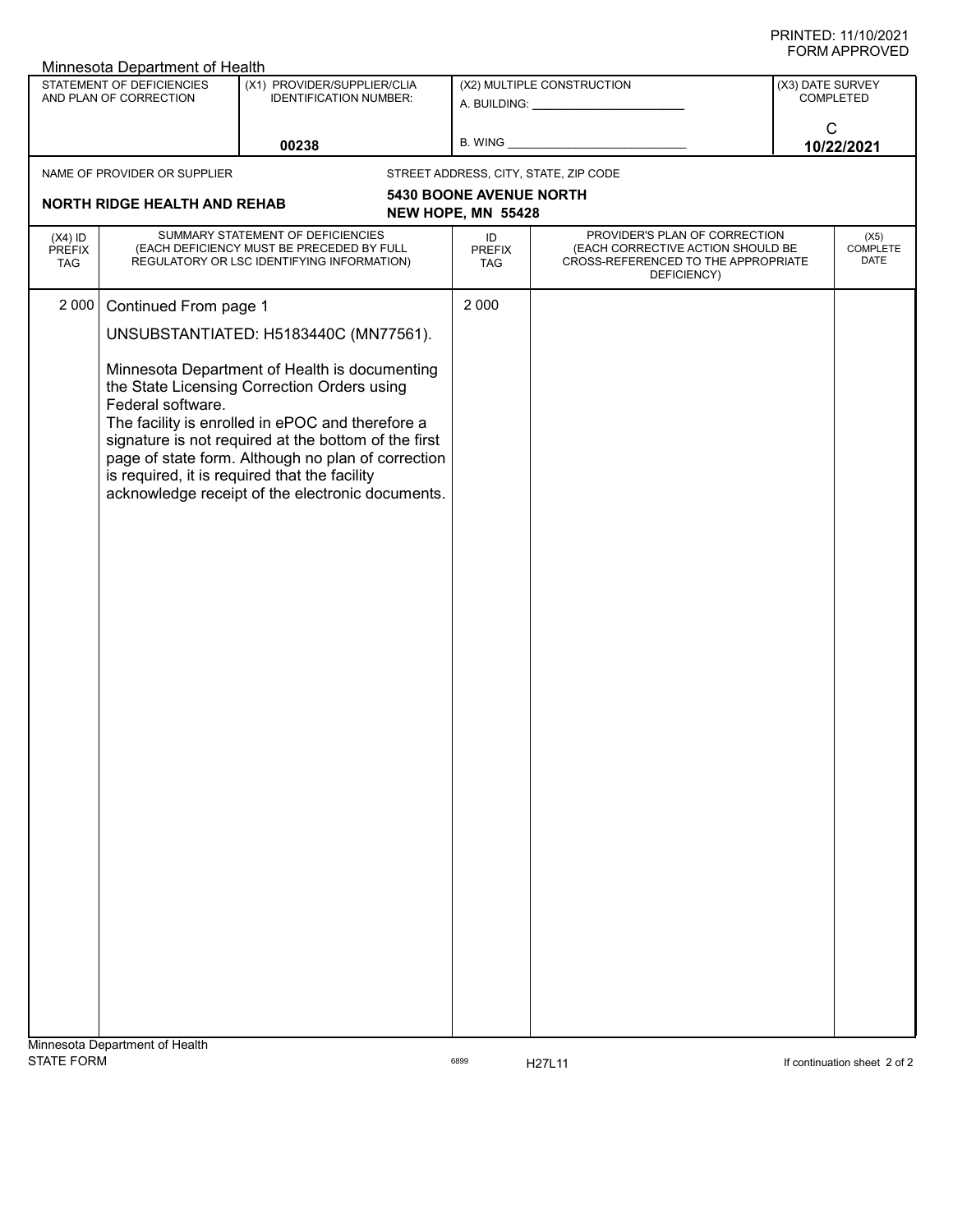| U<br>Minnesota Department of Health                 |                                                                                                                                                                                                                                                                                                                                                                                                                                                            |                                                              |  |                                                                                                                                                                                                                                     |                                                                                                                          |                                        |                                      |  |
|-----------------------------------------------------|------------------------------------------------------------------------------------------------------------------------------------------------------------------------------------------------------------------------------------------------------------------------------------------------------------------------------------------------------------------------------------------------------------------------------------------------------------|--------------------------------------------------------------|--|-------------------------------------------------------------------------------------------------------------------------------------------------------------------------------------------------------------------------------------|--------------------------------------------------------------------------------------------------------------------------|----------------------------------------|--------------------------------------|--|
| STATEMENT OF DEFICIENCIES<br>AND PLAN OF CORRECTION |                                                                                                                                                                                                                                                                                                                                                                                                                                                            | (X1) PROVIDER/SUPPLIER/CLIA<br><b>IDENTIFICATION NUMBER:</b> |  | (X2) MULTIPLE CONSTRUCTION<br>A. BUILDING: _______________________                                                                                                                                                                  |                                                                                                                          |                                        | (X3) DATE SURVEY<br><b>COMPLETED</b> |  |
|                                                     | 00238                                                                                                                                                                                                                                                                                                                                                                                                                                                      |                                                              |  | B. WING <b>Example 20</b> Second Second Second Second Second Second Second Second Second Second Second Second Second Second Second Second Second Second Second Second Second Second Second Second Second Second Second Second Secon |                                                                                                                          | $\mathsf{C}$<br>10/22/2021             |                                      |  |
| NAME OF PROVIDER OR SUPPLIER                        |                                                                                                                                                                                                                                                                                                                                                                                                                                                            |                                                              |  |                                                                                                                                                                                                                                     | STREET ADDRESS, CITY, STATE, ZIP CODE                                                                                    |                                        |                                      |  |
| <b>NORTH RIDGE HEALTH AND REHAB</b>                 |                                                                                                                                                                                                                                                                                                                                                                                                                                                            |                                                              |  | <b>5430 BOONE AVENUE NORTH</b>                                                                                                                                                                                                      |                                                                                                                          |                                        |                                      |  |
|                                                     |                                                                                                                                                                                                                                                                                                                                                                                                                                                            |                                                              |  | NEW HOPE, MN 55428                                                                                                                                                                                                                  |                                                                                                                          |                                        |                                      |  |
| $(X4)$ ID<br><b>PREFIX</b><br><b>TAG</b>            | SUMMARY STATEMENT OF DEFICIENCIES<br>(EACH DEFICIENCY MUST BE PRECEDED BY FULL<br>REGULATORY OR LSC IDENTIFYING INFORMATION)                                                                                                                                                                                                                                                                                                                               |                                                              |  | ID<br><b>PREFIX</b><br><b>TAG</b>                                                                                                                                                                                                   | PROVIDER'S PLAN OF CORRECTION<br>(EACH CORRECTIVE ACTION SHOULD BE<br>CROSS-REFERENCED TO THE APPROPRIATE<br>DEFICIENCY) | (X5)<br><b>COMPLETE</b><br><b>DATE</b> |                                      |  |
| 2 0 0 0                                             |                                                                                                                                                                                                                                                                                                                                                                                                                                                            |                                                              |  | 2 0 0 0                                                                                                                                                                                                                             |                                                                                                                          |                                        |                                      |  |
|                                                     |                                                                                                                                                                                                                                                                                                                                                                                                                                                            |                                                              |  |                                                                                                                                                                                                                                     |                                                                                                                          |                                        |                                      |  |
|                                                     | Continued From page 1<br>UNSUBSTANTIATED: H5183440C (MN77561).<br>Minnesota Department of Health is documenting<br>the State Licensing Correction Orders using<br>Federal software.<br>The facility is enrolled in ePOC and therefore a<br>signature is not required at the bottom of the first<br>page of state form. Although no plan of correction<br>is required, it is required that the facility<br>acknowledge receipt of the electronic documents. |                                                              |  |                                                                                                                                                                                                                                     |                                                                                                                          |                                        |                                      |  |
| Minnesota Department of Health                      |                                                                                                                                                                                                                                                                                                                                                                                                                                                            |                                                              |  |                                                                                                                                                                                                                                     |                                                                                                                          |                                        |                                      |  |